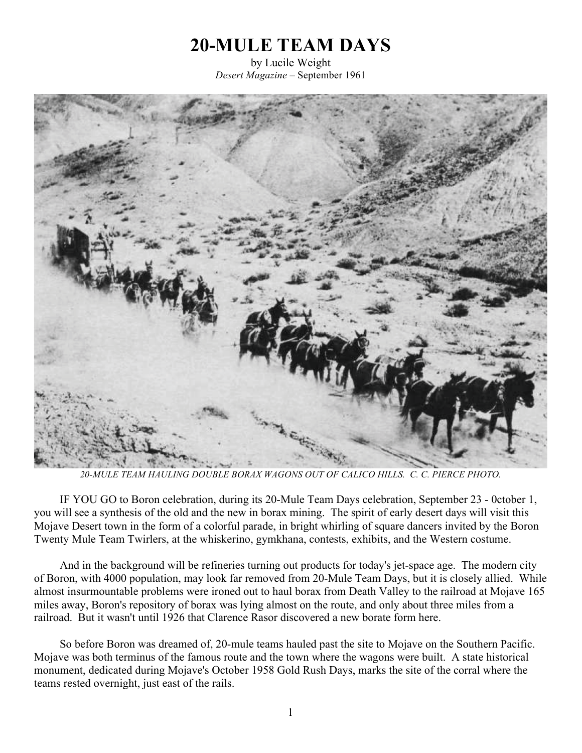## **20-MULE TEAM DAYS**

by Lucile Weight *Desert Magazine* – September 1961



*20-MULE TEAM HAULING DOUBLE BORAX WAGONS OUT OF CALICO HILLS. C. C. PIERCE PHOTO.*

IF YOU GO to Boron celebration, during its 20-Mule Team Days celebration, September 23 - 0ctober 1, you will see a synthesis of the old and the new in borax mining. The spirit of early desert days will visit this Mojave Desert town in the form of a colorful parade, in bright whirling of square dancers invited by the Boron Twenty Mule Team Twirlers, at the whiskerino, gymkhana, contests, exhibits, and the Western costume.

And in the background will be refineries turning out products for today's jet-space age. The modern city of Boron, with 4000 population, may look far removed from 20-Mule Team Days, but it is closely allied. While almost insurmountable problems were ironed out to haul borax from Death Valley to the railroad at Mojave 165 miles away, Boron's repository of borax was lying almost on the route, and only about three miles from a railroad. But it wasn't until 1926 that Clarence Rasor discovered a new borate form here.

So before Boron was dreamed of, 20-mule teams hauled past the site to Mojave on the Southern Pacific. Mojave was both terminus of the famous route and the town where the wagons were built. A state historical monument, dedicated during Mojave's October 1958 Gold Rush Days, marks the site of the corral where the teams rested overnight, just east of the rails.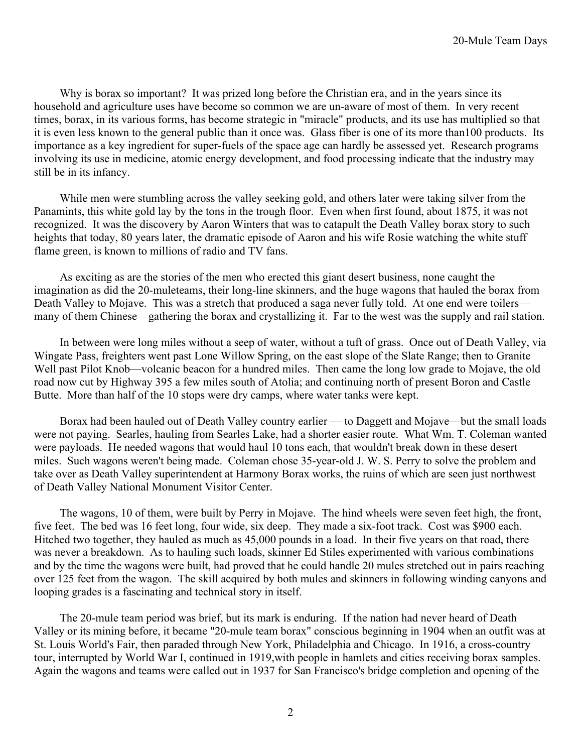Why is borax so important? It was prized long before the Christian era, and in the years since its household and agriculture uses have become so common we are un-aware of most of them. In very recent times, borax, in its various forms, has become strategic in "miracle" products, and its use has multiplied so that it is even less known to the general public than it once was. Glass fiber is one of its more than100 products. Its importance as a key ingredient for super-fuels of the space age can hardly be assessed yet. Research programs involving its use in medicine, atomic energy development, and food processing indicate that the industry may still be in its infancy.

While men were stumbling across the valley seeking gold, and others later were taking silver from the Panamints, this white gold lay by the tons in the trough floor. Even when first found, about 1875, it was not recognized. It was the discovery by Aaron Winters that was to catapult the Death Valley borax story to such heights that today, 80 years later, the dramatic episode of Aaron and his wife Rosie watching the white stuff flame green, is known to millions of radio and TV fans.

As exciting as are the stories of the men who erected this giant desert business, none caught the imagination as did the 20-muleteams, their long-line skinners, and the huge wagons that hauled the borax from Death Valley to Mojave. This was a stretch that produced a saga never fully told. At one end were toilers many of them Chinese—gathering the borax and crystallizing it. Far to the west was the supply and rail station.

In between were long miles without a seep of water, without a tuft of grass. Once out of Death Valley, via Wingate Pass, freighters went past Lone Willow Spring, on the east slope of the Slate Range; then to Granite Well past Pilot Knob—volcanic beacon for a hundred miles. Then came the long low grade to Mojave, the old road now cut by Highway 395 a few miles south of Atolia; and continuing north of present Boron and Castle Butte. More than half of the 10 stops were dry camps, where water tanks were kept.

Borax had been hauled out of Death Valley country earlier — to Daggett and Mojave—but the small loads were not paying. Searles, hauling from Searles Lake, had a shorter easier route. What Wm. T. Coleman wanted were payloads. He needed wagons that would haul 10 tons each, that wouldn't break down in these desert miles. Such wagons weren't being made. Coleman chose 35-year-old J. W. S. Perry to solve the problem and take over as Death Valley superintendent at Harmony Borax works, the ruins of which are seen just northwest of Death Valley National Monument Visitor Center.

The wagons, 10 of them, were built by Perry in Mojave. The hind wheels were seven feet high, the front, five feet. The bed was 16 feet long, four wide, six deep. They made a six-foot track. Cost was \$900 each. Hitched two together, they hauled as much as 45,000 pounds in a load. In their five years on that road, there was never a breakdown. As to hauling such loads, skinner Ed Stiles experimented with various combinations and by the time the wagons were built, had proved that he could handle 20 mules stretched out in pairs reaching over 125 feet from the wagon. The skill acquired by both mules and skinners in following winding canyons and looping grades is a fascinating and technical story in itself.

The 20-mule team period was brief, but its mark is enduring. If the nation had never heard of Death Valley or its mining before, it became "20-mule team borax" conscious beginning in 1904 when an outfit was at St. Louis World's Fair, then paraded through New York, Philadelphia and Chicago. In 1916, a cross-country tour, interrupted by World War I, continued in 1919,with people in hamlets and cities receiving borax samples. Again the wagons and teams were called out in 1937 for San Francisco's bridge completion and opening of the